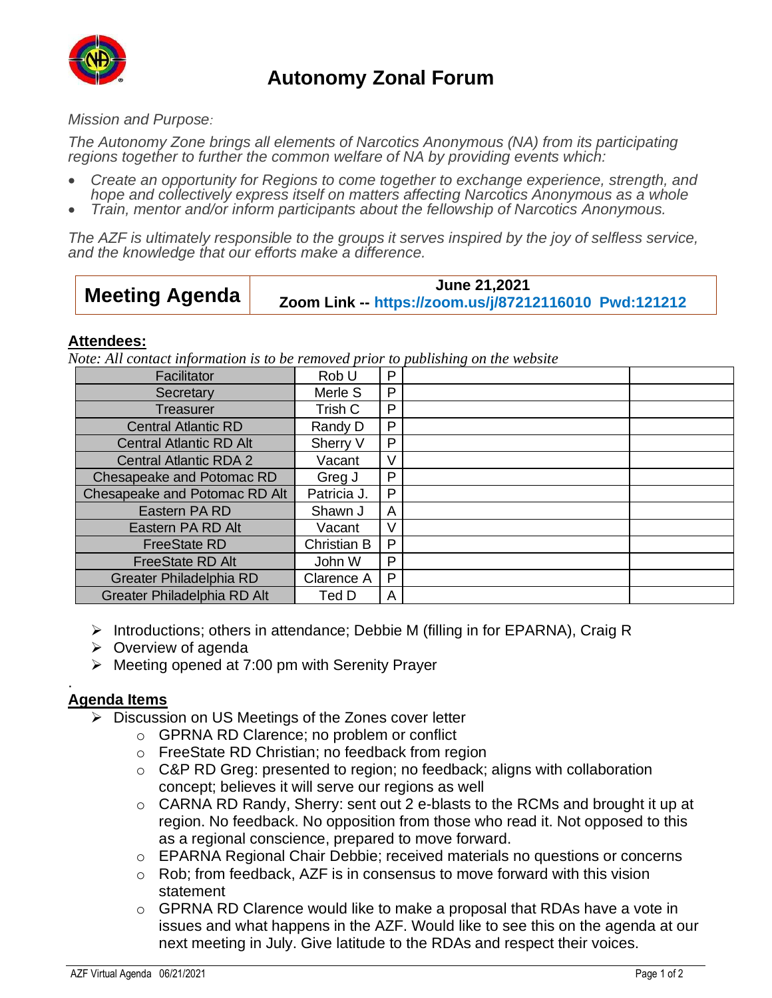

# **Autonomy Zonal Forum**

### *Mission and Purpose:*

*The Autonomy Zone brings all elements of Narcotics Anonymous (NA) from its participating regions together to further the common welfare of NA by providing events which:*

- *Create an opportunity for Regions to come together to exchange experience, strength, and hope and collectively express itself on matters affecting Narcotics Anonymous as a whole*
- *Train, mentor and/or inform participants about the fellowship of Narcotics Anonymous.*

*The AZF is ultimately responsible to the groups it serves inspired by the joy of selfless service, and the knowledge that our efforts make a difference.*

| <b>Meeting Agenda</b> | June 21,2021                                          |
|-----------------------|-------------------------------------------------------|
|                       | Zoom Link -- https://zoom.us/j/87212116010 Pwd:121212 |

### **Attendees:**

*Note: All contact information is to be removed prior to publishing on the website*

| Facilitator                    | Rob U       | P |  |
|--------------------------------|-------------|---|--|
| Secretary                      | Merle S     | P |  |
| Treasurer                      | Trish C     | P |  |
| <b>Central Atlantic RD</b>     | Randy D     | P |  |
| <b>Central Atlantic RD Alt</b> | Sherry V    | P |  |
| <b>Central Atlantic RDA 2</b>  | Vacant      | V |  |
| Chesapeake and Potomac RD      | Greg J      | P |  |
| Chesapeake and Potomac RD Alt  | Patricia J. | P |  |
| Eastern PA RD                  | Shawn J     | A |  |
| Eastern PA RD Alt              | Vacant      | V |  |
| <b>FreeState RD</b>            | Christian B | P |  |
| <b>FreeState RD Alt</b>        | John W      | P |  |
| Greater Philadelphia RD        | Clarence A  | P |  |
| Greater Philadelphia RD Alt    | Ted D       | A |  |

- $\triangleright$  Introductions; others in attendance; Debbie M (filling in for EPARNA), Craig R
- ➢ Overview of agenda
- ➢ Meeting opened at 7:00 pm with Serenity Prayer

## **Agenda Items**

.

- ➢ Discussion on US Meetings of the Zones cover letter
	- o GPRNA RD Clarence; no problem or conflict
	- o FreeState RD Christian; no feedback from region
	- o C&P RD Greg: presented to region; no feedback; aligns with collaboration concept; believes it will serve our regions as well
	- o CARNA RD Randy, Sherry: sent out 2 e-blasts to the RCMs and brought it up at region. No feedback. No opposition from those who read it. Not opposed to this as a regional conscience, prepared to move forward.
	- o EPARNA Regional Chair Debbie; received materials no questions or concerns
	- o Rob; from feedback, AZF is in consensus to move forward with this vision statement
	- $\circ$  GPRNA RD Clarence would like to make a proposal that RDAs have a vote in issues and what happens in the AZF. Would like to see this on the agenda at our next meeting in July. Give latitude to the RDAs and respect their voices.